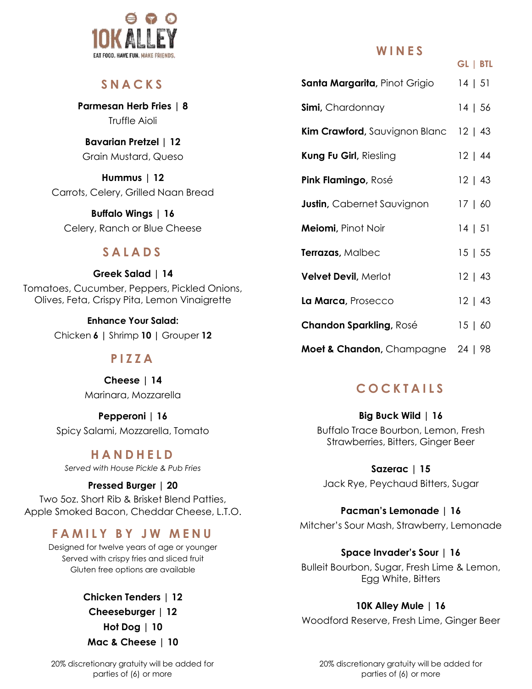

### **S N A C K S**

**Parmesan Herb Fries | 8** Truffle Aioli

**Bavarian Pretzel | 12** Grain Mustard, Queso

**Hummus | 12**  Carrots, Celery, Grilled Naan Bread

**Buffalo Wings | 16** Celery, Ranch or Blue Cheese

### **S A L A D S**

**Greek Salad | 14** Tomatoes, Cucumber, Peppers, Pickled Onions, Olives, Feta, Crispy Pita, Lemon Vinaigrette

> **Enhance Your Salad:** Chicken **6 |** Shrimp **10 |** Grouper **12**

### **P I Z Z A**

**Cheese | 14** Marinara, Mozzarella

**Pepperoni | 16** Spicy Salami, Mozzarella, Tomato

### **H A N D H E L D**

*Served with House Pickle & Pub Fries*

#### **Pressed Burger | 20** Two 5oz. Short Rib & Brisket Blend Patties, Apple Smoked Bacon, Cheddar Cheese, L.T.O.

# **F A M I L Y B Y J W M E N U**

Designed for twelve years of age or younger Served with crispy fries and sliced fruit Gluten free options are available

> **Chicken Tenders | 12 Cheeseburger | 12 Hot Dog | 10 Mac & Cheese | 10**

**W I N E S**

**GL | BTL**

| <b>Santa Margarita</b> , Pinot Grigio | 14   51      |
|---------------------------------------|--------------|
| Simi, Chardonnay                      | 14   56      |
| Kim Crawford, Sauvignon Blanc 12   43 |              |
| Kung Fu Girl, Riesling                | 12   44      |
| Pink Flamingo, Rosé                   | 12   43      |
| <b>Justin</b> , Cabernet Sauvignon    | 17   60      |
| Meiomi, Pinot Noir                    | 14   51      |
| Terrazas, Malbec                      | 15   55      |
| <b>Velvet Devil, Merlot</b>           | 12   43      |
| La Marca, Prosecco                    | $12 \mid 43$ |
| <b>Chandon Sparkling, Rosé</b>        | 15   60      |
| Moet & Chandon, Champagne 24   98     |              |

# **C O C K T A I L S**

**Big Buck Wild | 16** Buffalo Trace Bourbon, Lemon, Fresh Strawberries, Bitters, Ginger Beer

**Sazerac | 15** Jack Rye, Peychaud Bitters, Sugar

#### **Pacman's Lemonade | 16**

Mitcher's Sour Mash, Strawberry, Lemonade

#### **Space Invader's Sour | 16**

Bulleit Bourbon, Sugar, Fresh Lime & Lemon, Egg White, Bitters

#### **10K Alley Mule | 16**

Woodford Reserve, Fresh Lime, Ginger Beer

20% discretionary gratuity will be added for parties of (6) or more

20% discretionary gratuity will be added for parties of (6) or more